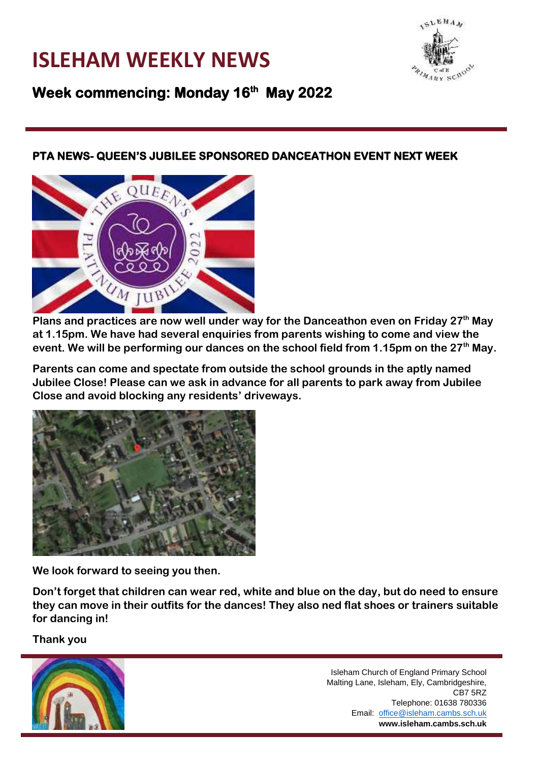### **ISLEHAM WEEKLY NEWS**



**Week commencing: Monday 16th May 2022** 

#### **PTA NEWS- QUEEN'S JUBILEE SPONSORED DANCEATHON EVENT NEXT WEEK**



**Plans and practices are now well under way for the Danceathon even on Friday 27th May at 1.15pm. We have had several enquiries from parents wishing to come and view the event. We will be performing our dances on the school field from 1.15pm on the 27th May.**

**Parents can come and spectate from outside the school grounds in the aptly named Jubilee Close! Please can we ask in advance for all parents to park away from Jubilee Close and avoid blocking any residents' driveways.**



**We look forward to seeing you then.**

**Don't forget that children can wear red, white and blue on the day, but do need to ensure they can move in their outfits for the dances! They also ned flat shoes or trainers suitable for dancing in!**

**Thank you**

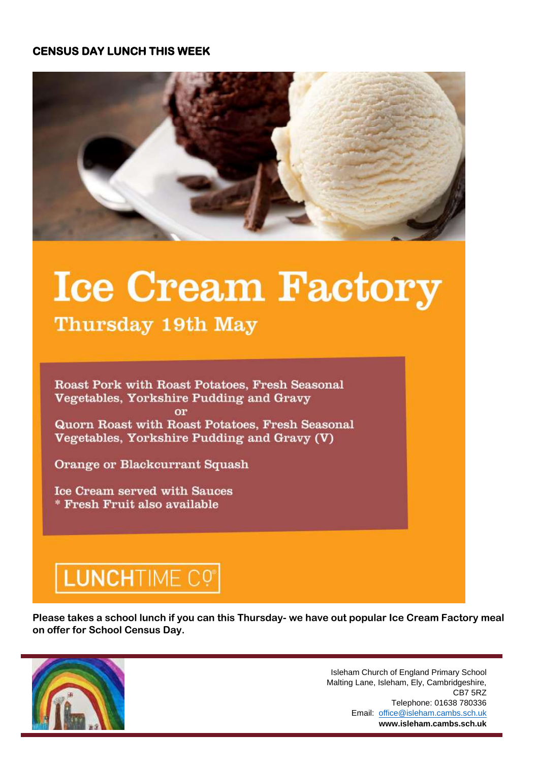#### **CENSUS DAY LUNCH THIS WEEK**



# **Ice Cream Factory**

Thursday 19th May

Roast Pork with Roast Potatoes, Fresh Seasonal Vegetables, Yorkshire Pudding and Gravy **or** Quorn Roast with Roast Potatoes, Fresh Seasonal Vegetables, Yorkshire Pudding and Gravy (V)

**Orange or Blackcurrant Squash** 

**Ice Cream served with Sauces** \* Fresh Fruit also available

## LUNCHTIME CO

**Please takes a school lunch if you can this Thursday- we have out popular Ice Cream Factory meal on offer for School Census Day.** 



Isleham Church of England Primary School Malting Lane, Isleham, Ely, Cambridgeshire, CB7 5RZ Telephone: 01638 780336 Email: office@isleham.cambs.sch.uk **www.isleham.cambs.sch.uk**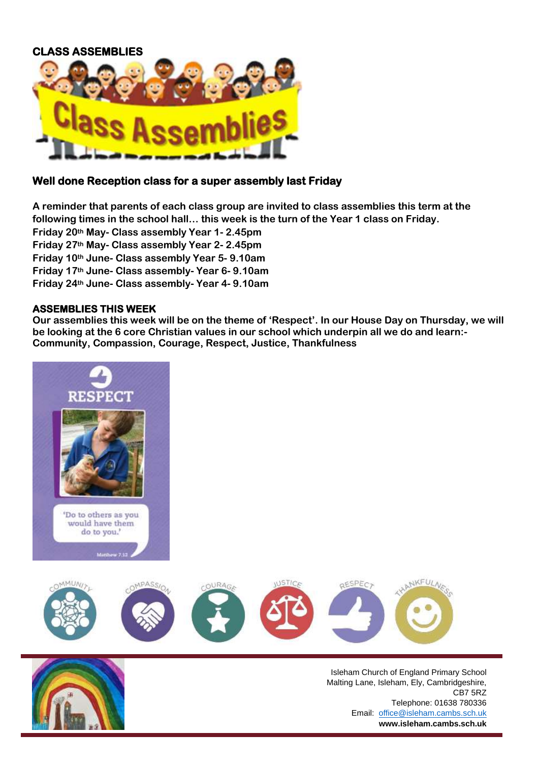#### **CLASS ASSEMBLIES**



#### **Well done Reception class for a super assembly last Friday**

**A reminder that parents of each class group are invited to class assemblies this term at the following times in the school hall… this week is the turn of the Year 1 class on Friday. Friday 20th May- Class assembly Year 1- 2.45pm Friday 27th May- Class assembly Year 2- 2.45pm Friday 10th June- Class assembly Year 5- 9.10am Friday 17th June- Class assembly- Year 6- 9.10am Friday 24th June- Class assembly- Year 4- 9.10am**

#### **ASSEMBLIES THIS WEEK**

**Our assemblies this week will be on the theme of 'Respect'. In our House Day on Thursday, we will be looking at the 6 core Christian values in our school which underpin all we do and learn:- Community, Compassion, Courage, Respect, Justice, Thankfulness**



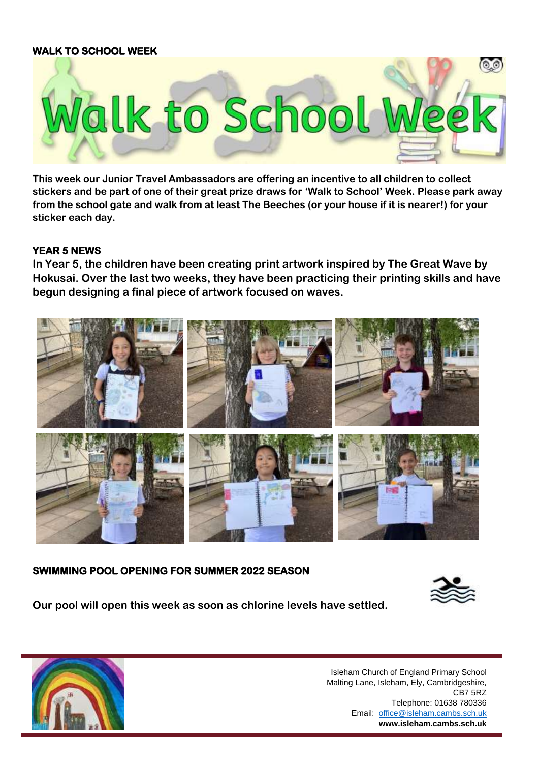#### **WALK TO SCHOOL WEEK**



**This week our Junior Travel Ambassadors are offering an incentive to all children to collect stickers and be part of one of their great prize draws for 'Walk to School' Week. Please park away from the school gate and walk from at least The Beeches (or your house if it is nearer!) for your sticker each day.**

#### **YEAR 5 NEWS**

**In Year 5, the children have been creating print artwork inspired by The Great Wave by Hokusai. Over the last two weeks, they have been practicing their printing skills and have begun designing a final piece of artwork focused on waves.**



#### **SWIMMING POOL OPENING FOR SUMMER 2022 SEASON**



**Our pool will open this week as soon as chlorine levels have settled.**